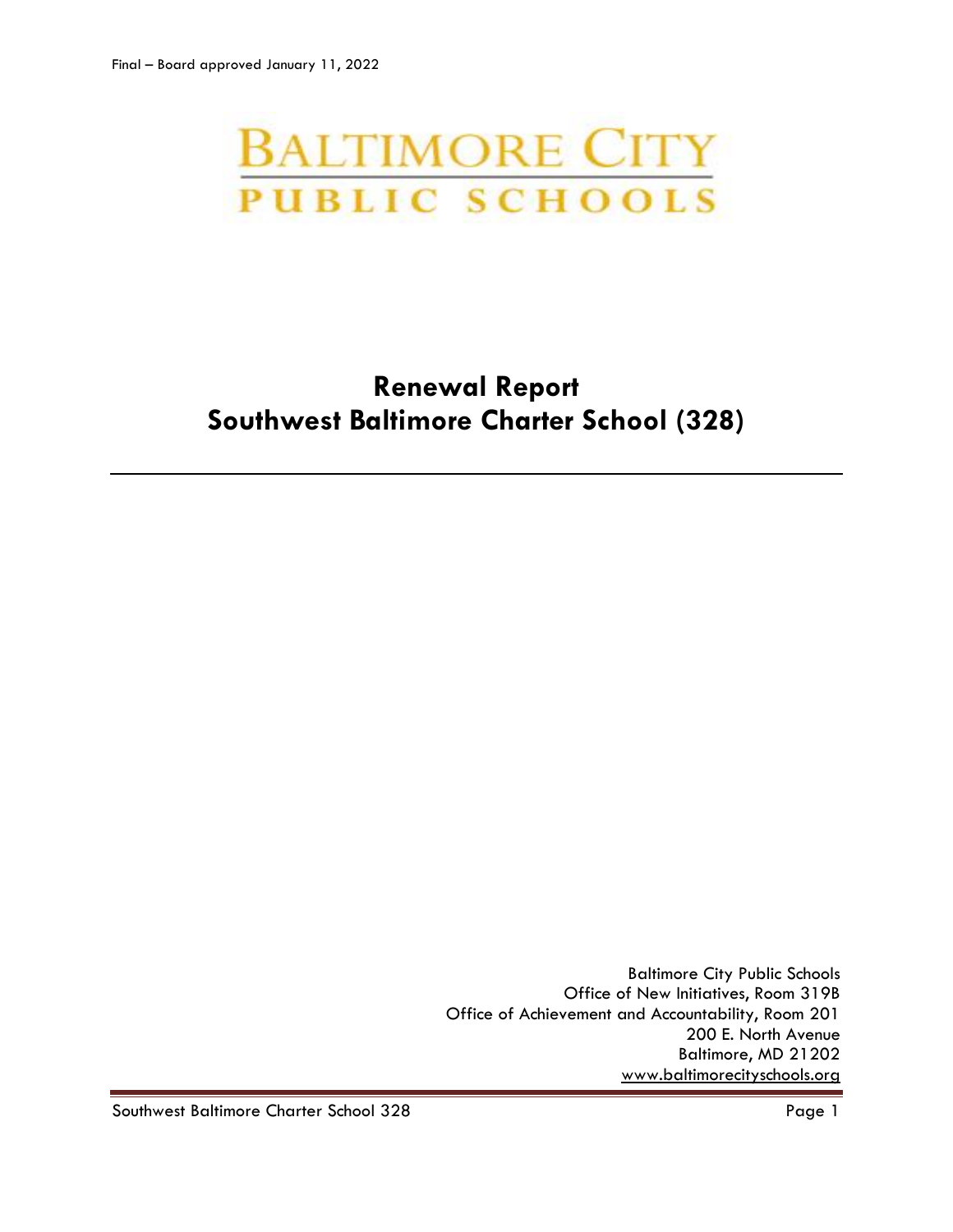# **BALTIMORE CITY PUBLIC SCHOOLS**

# **Renewal Report Southwest Baltimore Charter School (328)**

Baltimore City Public Schools Office of New Initiatives, Room 319B Office of Achievement and Accountability, Room 201 200 E. North Avenue Baltimore, MD 21202 [www.baltimorecityschools.org](http://www.baltimorecityschools.org/)

Southwest Baltimore Charter School 328 Page 1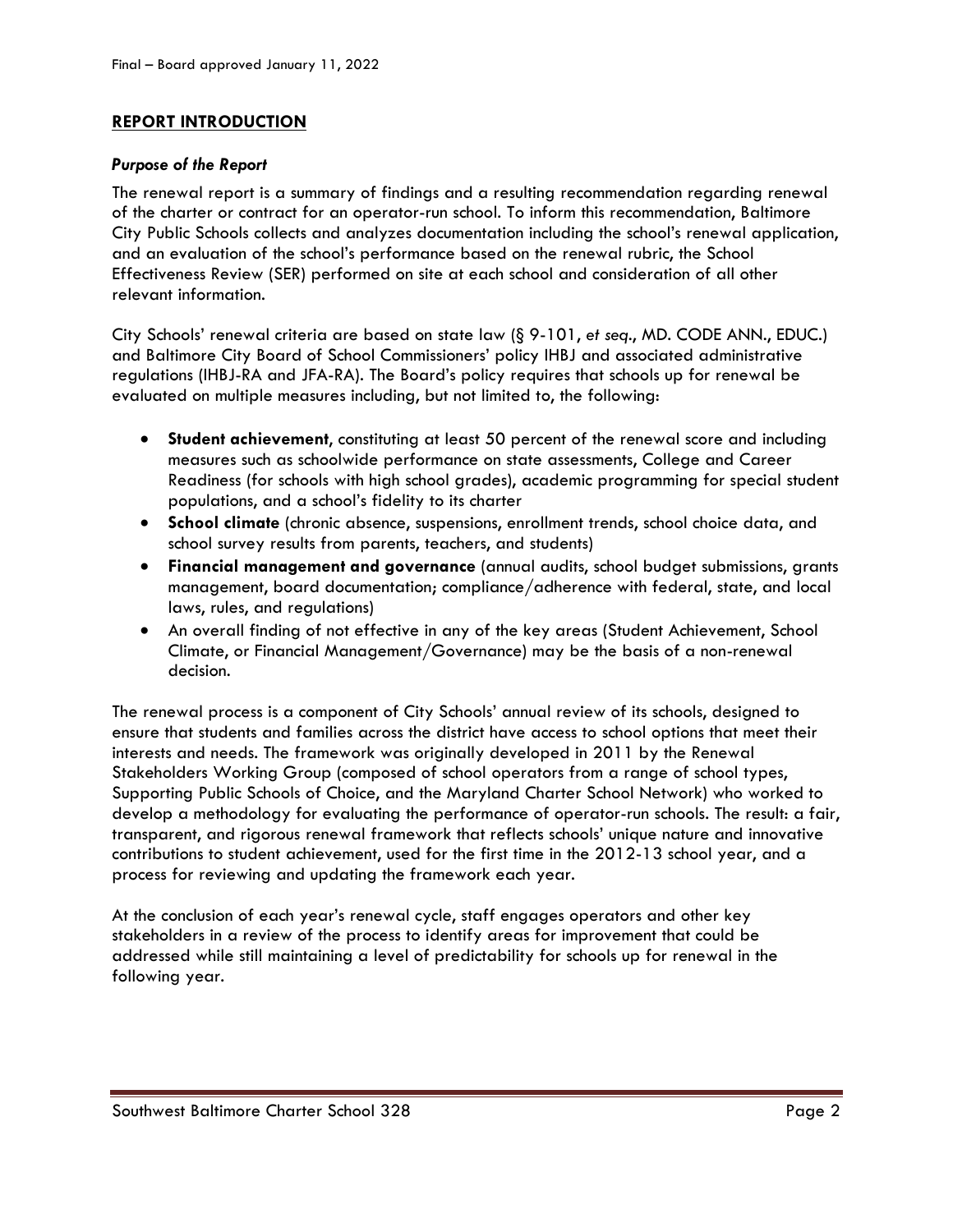# **REPORT INTRODUCTION**

### *Purpose of the Report*

The renewal report is a summary of findings and a resulting recommendation regarding renewal of the charter or contract for an operator-run school. To inform this recommendation, Baltimore City Public Schools collects and analyzes documentation including the school's renewal application, and an evaluation of the school's performance based on the renewal rubric, the School Effectiveness Review (SER) performed on site at each school and consideration of all other relevant information.

City Schools' renewal criteria are based on state law (§ 9-101, *et seq*., MD. CODE ANN., EDUC.) and Baltimore City Board of School Commissioners' policy IHBJ and associated administrative regulations (IHBJ-RA and JFA-RA). The Board's policy requires that schools up for renewal be evaluated on multiple measures including, but not limited to, the following:

- **Student achievement**, constituting at least 50 percent of the renewal score and including measures such as schoolwide performance on state assessments, College and Career Readiness (for schools with high school grades), academic programming for special student populations, and a school's fidelity to its charter
- **School climate** (chronic absence, suspensions, enrollment trends, school choice data, and school survey results from parents, teachers, and students)
- **Financial management and governance** (annual audits, school budget submissions, grants management, board documentation; compliance/adherence with federal, state, and local laws, rules, and regulations)
- An overall finding of not effective in any of the key areas (Student Achievement, School Climate, or Financial Management/Governance) may be the basis of a non-renewal decision.

The renewal process is a component of City Schools' annual review of its schools, designed to ensure that students and families across the district have access to school options that meet their interests and needs. The framework was originally developed in 2011 by the Renewal Stakeholders Working Group (composed of school operators from a range of school types, Supporting Public Schools of Choice, and the Maryland Charter School Network) who worked to develop a methodology for evaluating the performance of operator-run schools. The result: a fair, transparent, and rigorous renewal framework that reflects schools' unique nature and innovative contributions to student achievement, used for the first time in the 2012-13 school year, and a process for reviewing and updating the framework each year.

At the conclusion of each year's renewal cycle, staff engages operators and other key stakeholders in a review of the process to identify areas for improvement that could be addressed while still maintaining a level of predictability for schools up for renewal in the following year.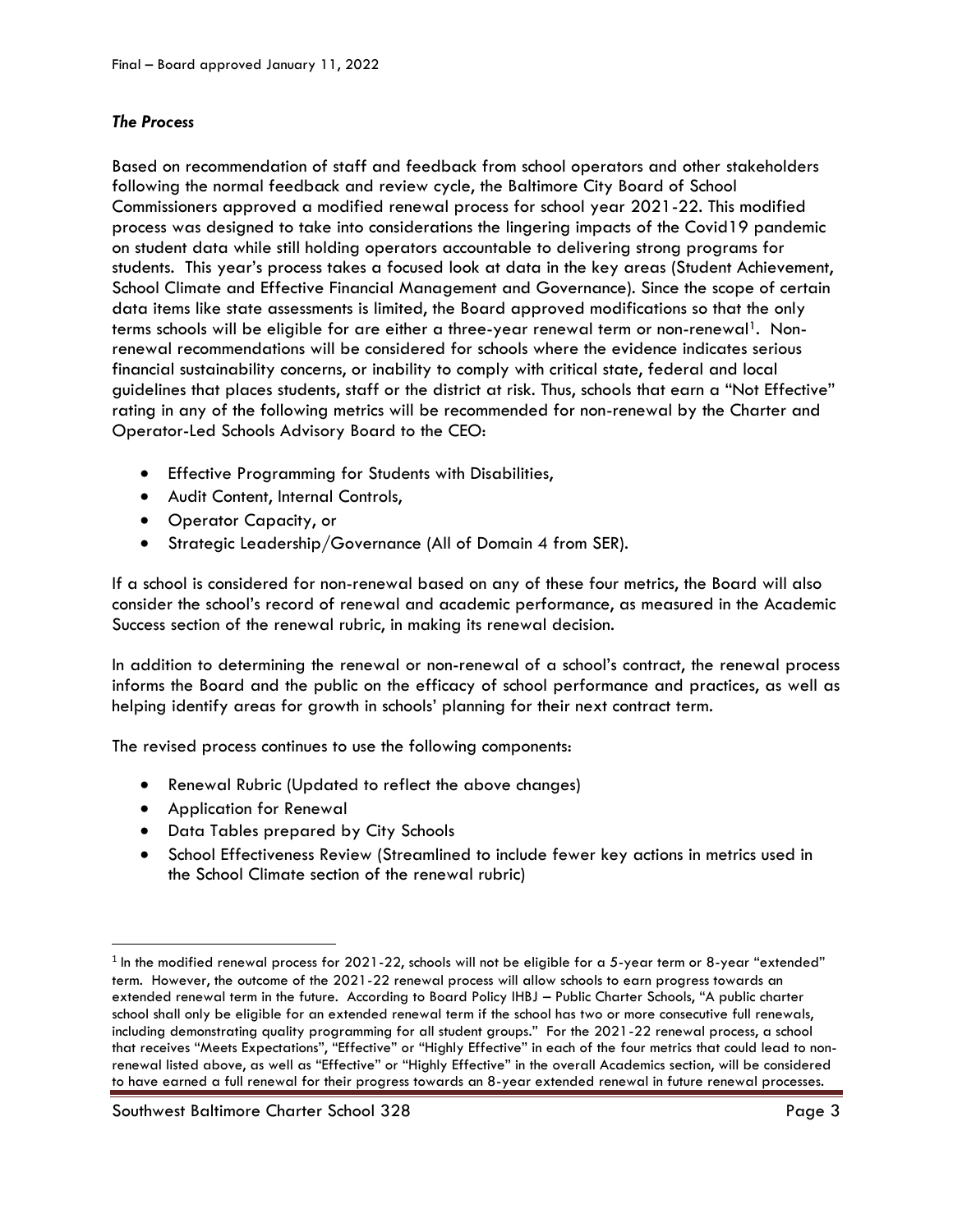# *The Process*

Based on recommendation of staff and feedback from school operators and other stakeholders following the normal feedback and review cycle, the Baltimore City Board of School Commissioners approved a modified renewal process for school year 2021-22. This modified process was designed to take into considerations the lingering impacts of the Covid19 pandemic on student data while still holding operators accountable to delivering strong programs for students. This year's process takes a focused look at data in the key areas (Student Achievement, School Climate and Effective Financial Management and Governance). Since the scope of certain data items like state assessments is limited, the Board approved modifications so that the only terms schools will be eligible for are either a three-year renewal term or non-renewal<sup>1</sup>. Nonrenewal recommendations will be considered for schools where the evidence indicates serious financial sustainability concerns, or inability to comply with critical state, federal and local guidelines that places students, staff or the district at risk. Thus, schools that earn a "Not Effective" rating in any of the following metrics will be recommended for non-renewal by the Charter and Operator-Led Schools Advisory Board to the CEO:

- Effective Programming for Students with Disabilities,
- Audit Content, Internal Controls,
- Operator Capacity, or
- Strategic Leadership/Governance (All of Domain 4 from SER).

If a school is considered for non-renewal based on any of these four metrics, the Board will also consider the school's record of renewal and academic performance, as measured in the Academic Success section of the renewal rubric, in making its renewal decision.

In addition to determining the renewal or non-renewal of a school's contract, the renewal process informs the Board and the public on the efficacy of school performance and practices, as well as helping identify areas for growth in schools' planning for their next contract term.

The revised process continues to use the following components:

- Renewal Rubric (Updated to reflect the above changes)
- Application for Renewal

l

- Data Tables prepared by City Schools
- School Effectiveness Review (Streamlined to include fewer key actions in metrics used in the School Climate section of the renewal rubric)

 $^{\rm 1}$  In the modified renewal process for 2021-22, schools will not be eligible for a 5-year term or 8-year "extended" term. However, the outcome of the 2021-22 renewal process will allow schools to earn progress towards an extended renewal term in the future. According to Board Policy IHBJ – Public Charter Schools, "A public charter school shall only be eligible for an extended renewal term if the school has two or more consecutive full renewals, including demonstrating quality programming for all student groups." For the 2021-22 renewal process, a school that receives "Meets Expectations", "Effective" or "Highly Effective" in each of the four metrics that could lead to nonrenewal listed above, as well as "Effective" or "Highly Effective" in the overall Academics section, will be considered to have earned a full renewal for their progress towards an 8-year extended renewal in future renewal processes.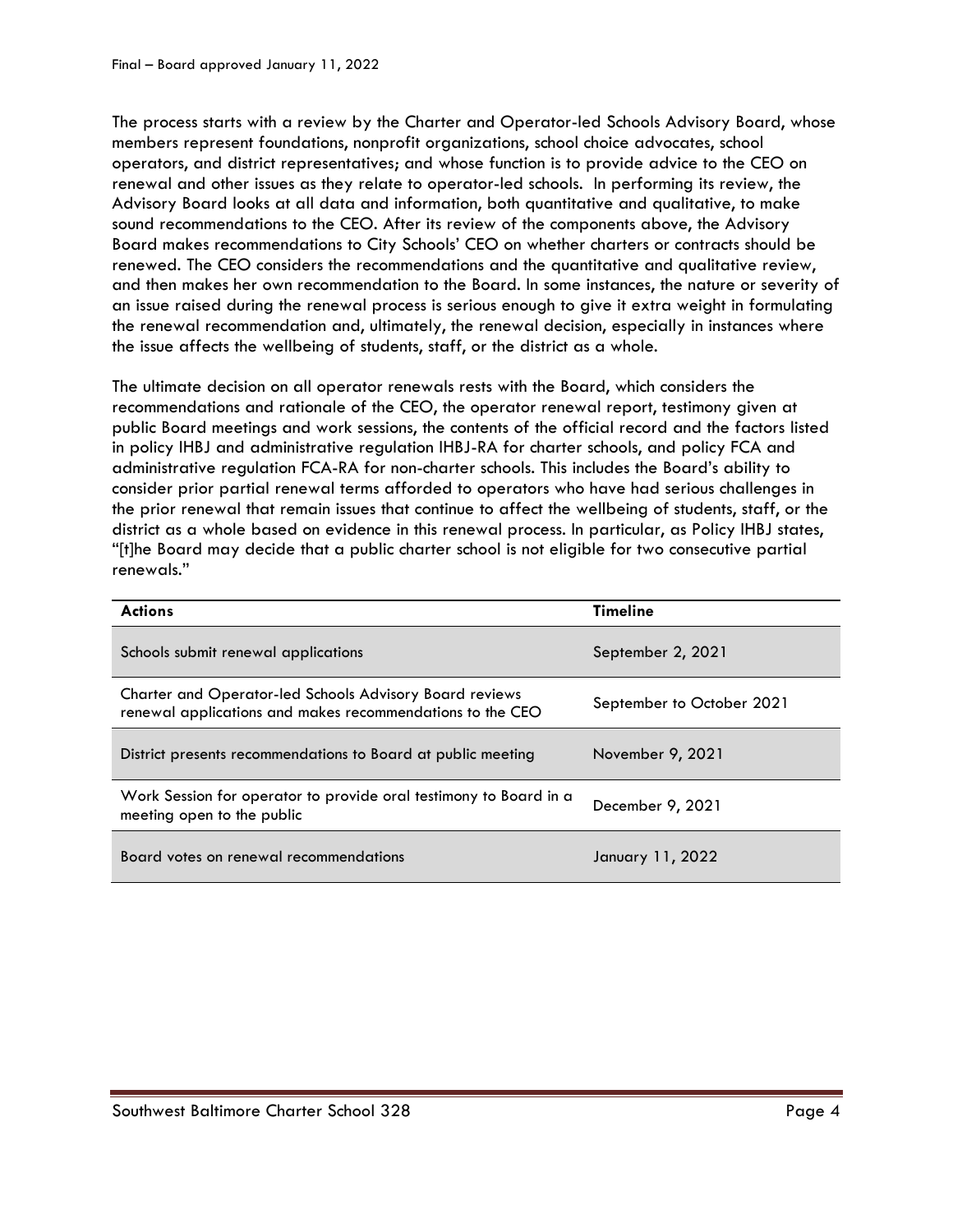The process starts with a review by the Charter and Operator-led Schools Advisory Board, whose members represent foundations, nonprofit organizations, school choice advocates, school operators, and district representatives; and whose function is to provide advice to the CEO on renewal and other issues as they relate to operator-led schools. In performing its review, the Advisory Board looks at all data and information, both quantitative and qualitative, to make sound recommendations to the CEO. After its review of the components above, the Advisory Board makes recommendations to City Schools' CEO on whether charters or contracts should be renewed. The CEO considers the recommendations and the quantitative and qualitative review, and then makes her own recommendation to the Board. In some instances, the nature or severity of an issue raised during the renewal process is serious enough to give it extra weight in formulating the renewal recommendation and, ultimately, the renewal decision, especially in instances where the issue affects the wellbeing of students, staff, or the district as a whole.

The ultimate decision on all operator renewals rests with the Board, which considers the recommendations and rationale of the CEO, the operator renewal report, testimony given at public Board meetings and work sessions, the contents of the official record and the factors listed in policy IHBJ and administrative regulation IHBJ-RA for charter schools, and policy FCA and administrative regulation FCA-RA for non-charter schools. This includes the Board's ability to consider prior partial renewal terms afforded to operators who have had serious challenges in the prior renewal that remain issues that continue to affect the wellbeing of students, staff, or the district as a whole based on evidence in this renewal process. In particular, as Policy IHBJ states, "[t]he Board may decide that a public charter school is not eligible for two consecutive partial renewals."

| <b>Actions</b>                                                                                                              | <b>Timeline</b>           |
|-----------------------------------------------------------------------------------------------------------------------------|---------------------------|
| Schools submit renewal applications                                                                                         | September 2, 2021         |
| <b>Charter and Operator-led Schools Advisory Board reviews</b><br>renewal applications and makes recommendations to the CEO | September to October 2021 |
| District presents recommendations to Board at public meeting                                                                | November 9, 2021          |
| Work Session for operator to provide oral testimony to Board in a<br>meeting open to the public                             | December 9, 2021          |
| Board votes on renewal recommendations                                                                                      | January 11, 2022          |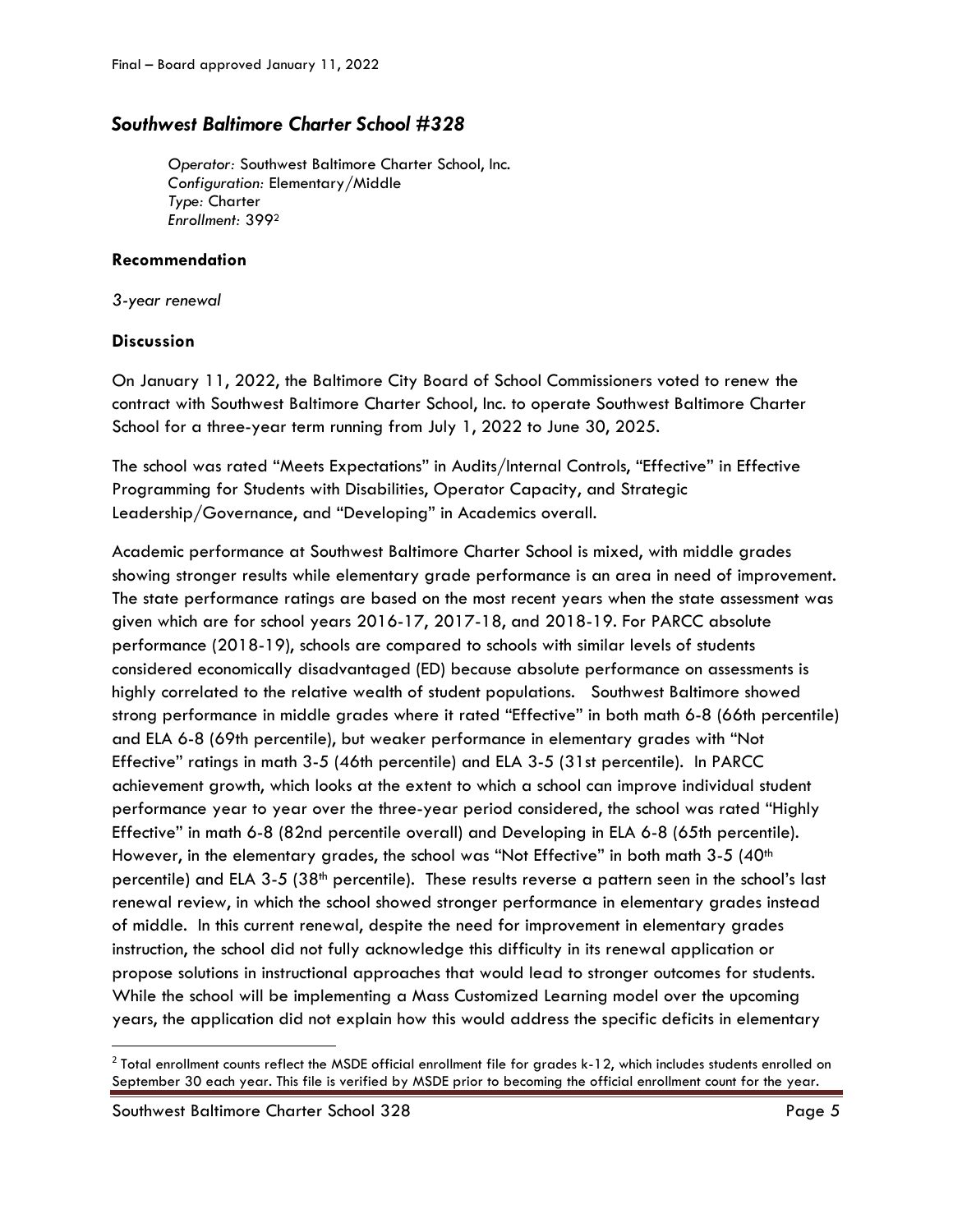# *Southwest Baltimore Charter School #328*

*Operator:* Southwest Baltimore Charter School, Inc. *Configuration:* Elementary/Middle *Type:* Charter *Enrollment:* 399<sup>2</sup>

### **Recommendation**

*3-year renewal*

# **Discussion**

On January 11, 2022, the Baltimore City Board of School Commissioners voted to renew the contract with Southwest Baltimore Charter School, Inc. to operate Southwest Baltimore Charter School for a three-year term running from July 1, 2022 to June 30, 2025.

The school was rated "Meets Expectations" in Audits/Internal Controls, "Effective" in Effective Programming for Students with Disabilities, Operator Capacity, and Strategic Leadership/Governance, and "Developing" in Academics overall.

Academic performance at Southwest Baltimore Charter School is mixed, with middle grades showing stronger results while elementary grade performance is an area in need of improvement. The state performance ratings are based on the most recent years when the state assessment was given which are for school years 2016-17, 2017-18, and 2018-19. For PARCC absolute performance (2018-19), schools are compared to schools with similar levels of students considered economically disadvantaged (ED) because absolute performance on assessments is highly correlated to the relative wealth of student populations. Southwest Baltimore showed strong performance in middle grades where it rated "Effective" in both math 6-8 (66th percentile) and ELA 6-8 (69th percentile), but weaker performance in elementary grades with "Not Effective" ratings in math 3-5 (46th percentile) and ELA 3-5 (31st percentile). In PARCC achievement growth, which looks at the extent to which a school can improve individual student performance year to year over the three-year period considered, the school was rated "Highly Effective" in math 6-8 (82nd percentile overall) and Developing in ELA 6-8 (65th percentile). However, in the elementary grades, the school was "Not Effective" in both math  $3-5$  (40<sup>th</sup>) percentile) and ELA 3-5 (38th percentile). These results reverse a pattern seen in the school's last renewal review, in which the school showed stronger performance in elementary grades instead of middle. In this current renewal, despite the need for improvement in elementary grades instruction, the school did not fully acknowledge this difficulty in its renewal application or propose solutions in instructional approaches that would lead to stronger outcomes for students. While the school will be implementing a Mass Customized Learning model over the upcoming years, the application did not explain how this would address the specific deficits in elementary

Southwest Baltimore Charter School 328 Page 5

 $\overline{\phantom{a}}$ 

 $^2$  Total enrollment counts reflect the MSDE official enrollment file for grades k-12, which includes students enrolled on September 30 each year. This file is verified by MSDE prior to becoming the official enrollment count for the year.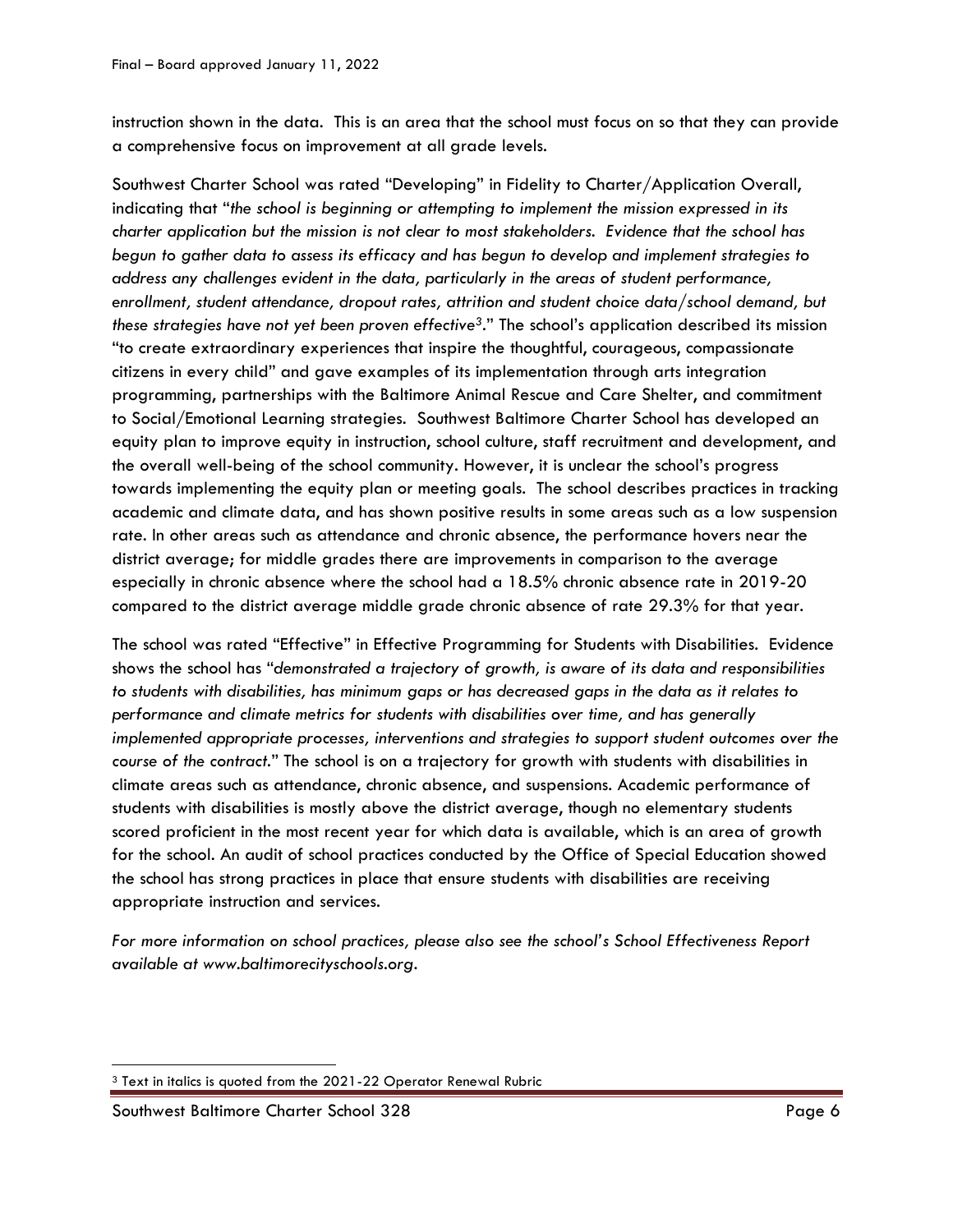instruction shown in the data. This is an area that the school must focus on so that they can provide a comprehensive focus on improvement at all grade levels.

Southwest Charter School was rated "Developing" in Fidelity to Charter/Application Overall, indicating that "*the school is beginning or attempting to implement the mission expressed in its charter application but the mission is not clear to most stakeholders. Evidence that the school has begun to gather data to assess its efficacy and has begun to develop and implement strategies to address any challenges evident in the data, particularly in the areas of student performance, enrollment, student attendance, dropout rates, attrition and student choice data/school demand, but these strategies have not yet been proven effective3*." The school's application described its mission "to create extraordinary experiences that inspire the thoughtful, courageous, compassionate citizens in every child" and gave examples of its implementation through arts integration programming, partnerships with the Baltimore Animal Rescue and Care Shelter, and commitment to Social/Emotional Learning strategies. Southwest Baltimore Charter School has developed an equity plan to improve equity in instruction, school culture, staff recruitment and development, and the overall well-being of the school community. However, it is unclear the school's progress towards implementing the equity plan or meeting goals. The school describes practices in tracking academic and climate data, and has shown positive results in some areas such as a low suspension rate. In other areas such as attendance and chronic absence, the performance hovers near the district average; for middle grades there are improvements in comparison to the average especially in chronic absence where the school had a 18.5% chronic absence rate in 2019-20 compared to the district average middle grade chronic absence of rate 29.3% for that year.

The school was rated "Effective" in Effective Programming for Students with Disabilities. Evidence shows the school has "*demonstrated a trajectory of growth, is aware of its data and responsibilities to students with disabilities, has minimum gaps or has decreased gaps in the data as it relates to performance and climate metrics for students with disabilities over time, and has generally implemented appropriate processes, interventions and strategies to support student outcomes over the course of the contract.*" The school is on a trajectory for growth with students with disabilities in climate areas such as attendance, chronic absence, and suspensions. Academic performance of students with disabilities is mostly above the district average, though no elementary students scored proficient in the most recent year for which data is available, which is an area of growth for the school. An audit of school practices conducted by the Office of Special Education showed the school has strong practices in place that ensure students with disabilities are receiving appropriate instruction and services.

*For more information on school practices, please also see the school's School Effectiveness Report available at www.baltimorecityschools.org.*

 $\overline{\phantom{a}}$ <sup>3</sup> Text in italics is quoted from the 2021-22 Operator Renewal Rubric

Southwest Baltimore Charter School 328 Page 6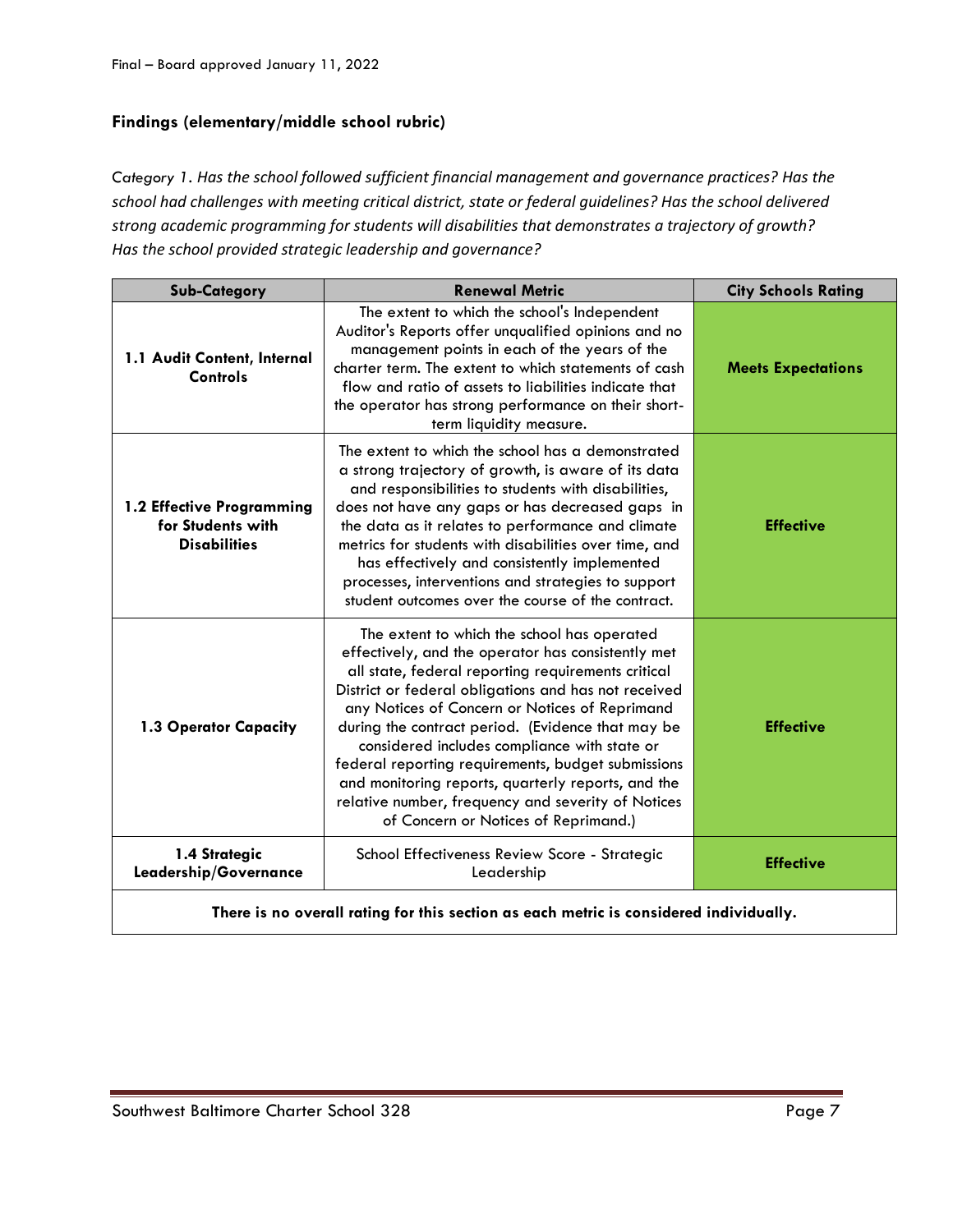# **Findings (elementary/middle school rubric)**

*Category 1. Has the school followed sufficient financial management and governance practices? Has the school had challenges with meeting critical district, state or federal guidelines? Has the school delivered strong academic programming for students will disabilities that demonstrates a trajectory of growth? Has the school provided strategic leadership and governance?*

| <b>Sub-Category</b>                                                   | <b>Renewal Metric</b>                                                                                                                                                                                                                                                                                                                                                                                                                                                                                                                                                            | <b>City Schools Rating</b> |
|-----------------------------------------------------------------------|----------------------------------------------------------------------------------------------------------------------------------------------------------------------------------------------------------------------------------------------------------------------------------------------------------------------------------------------------------------------------------------------------------------------------------------------------------------------------------------------------------------------------------------------------------------------------------|----------------------------|
| 1.1 Audit Content, Internal<br>Controls                               | The extent to which the school's Independent<br>Auditor's Reports offer unqualified opinions and no<br>management points in each of the years of the<br>charter term. The extent to which statements of cash<br>flow and ratio of assets to liabilities indicate that<br>the operator has strong performance on their short-<br>term liquidity measure.                                                                                                                                                                                                                          | <b>Meets Expectations</b>  |
| 1.2 Effective Programming<br>for Students with<br><b>Disabilities</b> | The extent to which the school has a demonstrated<br>a strong trajectory of growth, is aware of its data<br>and responsibilities to students with disabilities,<br>does not have any gaps or has decreased gaps in<br>the data as it relates to performance and climate<br>metrics for students with disabilities over time, and<br>has effectively and consistently implemented<br>processes, interventions and strategies to support<br>student outcomes over the course of the contract.                                                                                      | <b>Effective</b>           |
| 1.3 Operator Capacity                                                 | The extent to which the school has operated<br>effectively, and the operator has consistently met<br>all state, federal reporting requirements critical<br>District or federal obligations and has not received<br>any Notices of Concern or Notices of Reprimand<br>during the contract period. (Evidence that may be<br>considered includes compliance with state or<br>federal reporting requirements, budget submissions<br>and monitoring reports, quarterly reports, and the<br>relative number, frequency and severity of Notices<br>of Concern or Notices of Reprimand.) | <b>Effective</b>           |
| 1.4 Strategic<br>Leadership/Governance                                | School Effectiveness Review Score - Strategic<br>Leadership                                                                                                                                                                                                                                                                                                                                                                                                                                                                                                                      | <b>Effective</b>           |

**There is no overall rating for this section as each metric is considered individually.**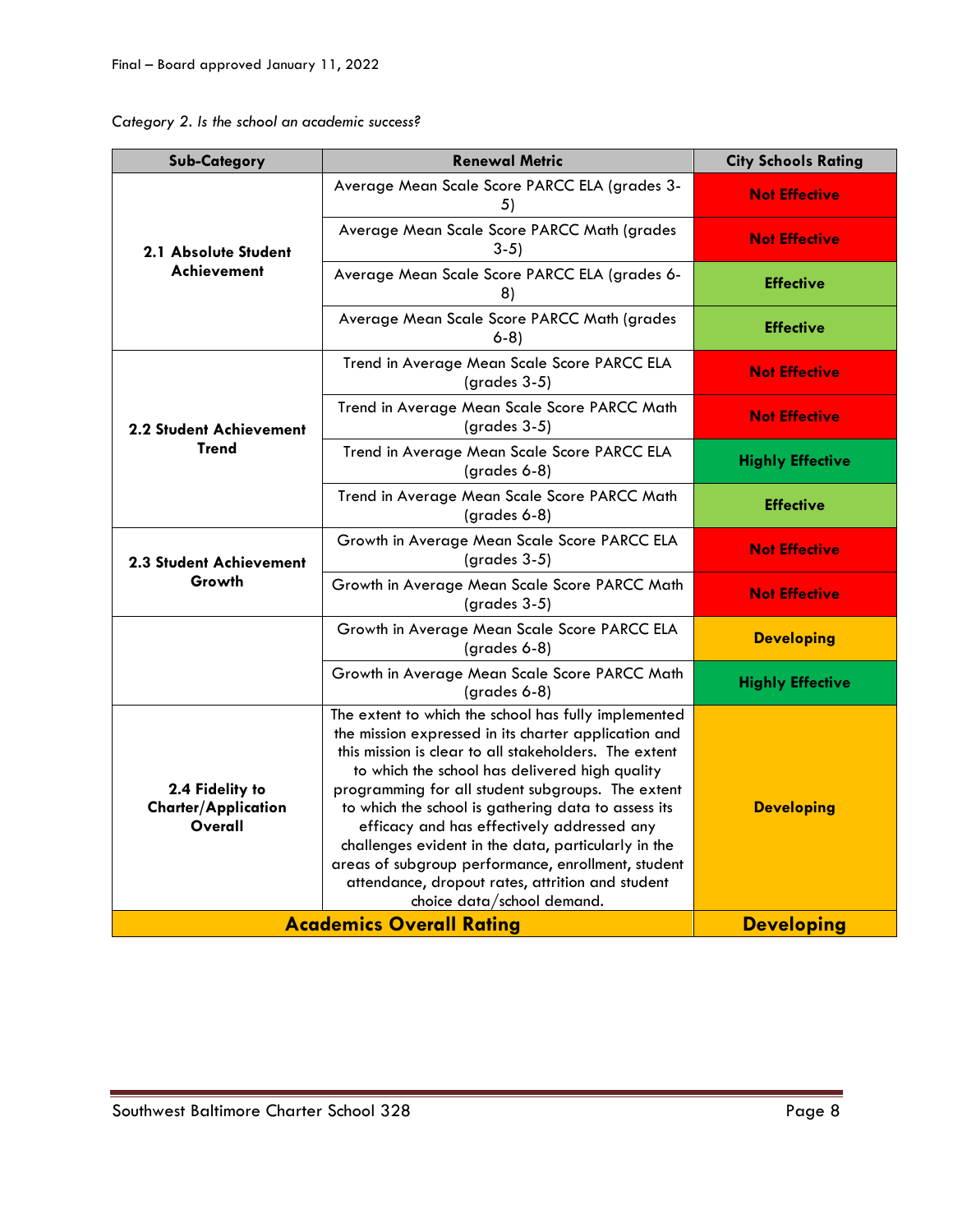| Category 2. Is the school an academic success? |  |  |  |  |  |  |
|------------------------------------------------|--|--|--|--|--|--|
|------------------------------------------------|--|--|--|--|--|--|

| <b>Sub-Category</b>                                      | <b>Renewal Metric</b>                                                                                                                                                                                                                                                                                                                                                                                                                                                                                                                                                            | <b>City Schools Rating</b> |
|----------------------------------------------------------|----------------------------------------------------------------------------------------------------------------------------------------------------------------------------------------------------------------------------------------------------------------------------------------------------------------------------------------------------------------------------------------------------------------------------------------------------------------------------------------------------------------------------------------------------------------------------------|----------------------------|
| 2.1 Absolute Student                                     | Average Mean Scale Score PARCC ELA (grades 3-<br>5)                                                                                                                                                                                                                                                                                                                                                                                                                                                                                                                              | <b>Not Effective</b>       |
|                                                          | Average Mean Scale Score PARCC Math (grades<br>$3-5)$                                                                                                                                                                                                                                                                                                                                                                                                                                                                                                                            | <b>Not Effective</b>       |
| Achievement                                              | Average Mean Scale Score PARCC ELA (grades 6-<br>8)                                                                                                                                                                                                                                                                                                                                                                                                                                                                                                                              | <b>Effective</b>           |
|                                                          | Average Mean Scale Score PARCC Math (grades<br>$6-8$                                                                                                                                                                                                                                                                                                                                                                                                                                                                                                                             | <b>Effective</b>           |
|                                                          | Trend in Average Mean Scale Score PARCC ELA<br>$(grades 3-5)$                                                                                                                                                                                                                                                                                                                                                                                                                                                                                                                    | <b>Not Effective</b>       |
| <b>2.2 Student Achievement</b>                           | Trend in Average Mean Scale Score PARCC Math<br>$(grades 3-5)$                                                                                                                                                                                                                                                                                                                                                                                                                                                                                                                   | <b>Not Effective</b>       |
| <b>Trend</b>                                             | Trend in Average Mean Scale Score PARCC ELA<br>(grades 6-8)                                                                                                                                                                                                                                                                                                                                                                                                                                                                                                                      | <b>Highly Effective</b>    |
|                                                          | Trend in Average Mean Scale Score PARCC Math<br>(grades 6-8)                                                                                                                                                                                                                                                                                                                                                                                                                                                                                                                     | <b>Effective</b>           |
| 2.3 Student Achievement<br>Growth                        | Growth in Average Mean Scale Score PARCC ELA<br>(grades 3-5)                                                                                                                                                                                                                                                                                                                                                                                                                                                                                                                     | <b>Not Effective</b>       |
|                                                          | Growth in Average Mean Scale Score PARCC Math<br>$(grades 3-5)$                                                                                                                                                                                                                                                                                                                                                                                                                                                                                                                  | <b>Not Effective</b>       |
|                                                          | Growth in Average Mean Scale Score PARCC ELA<br>(grades 6-8)                                                                                                                                                                                                                                                                                                                                                                                                                                                                                                                     | <b>Developing</b>          |
|                                                          | Growth in Average Mean Scale Score PARCC Math<br>(grades 6-8)                                                                                                                                                                                                                                                                                                                                                                                                                                                                                                                    | <b>Highly Effective</b>    |
| 2.4 Fidelity to<br><b>Charter/Application</b><br>Overall | The extent to which the school has fully implemented<br>the mission expressed in its charter application and<br>this mission is clear to all stakeholders. The extent<br>to which the school has delivered high quality<br>programming for all student subgroups. The extent<br>to which the school is gathering data to assess its<br>efficacy and has effectively addressed any<br>challenges evident in the data, particularly in the<br>areas of subgroup performance, enrollment, student<br>attendance, dropout rates, attrition and student<br>choice data/school demand. | <b>Developing</b>          |
| <b>Academics Overall Rating</b>                          | <b>Developing</b>                                                                                                                                                                                                                                                                                                                                                                                                                                                                                                                                                                |                            |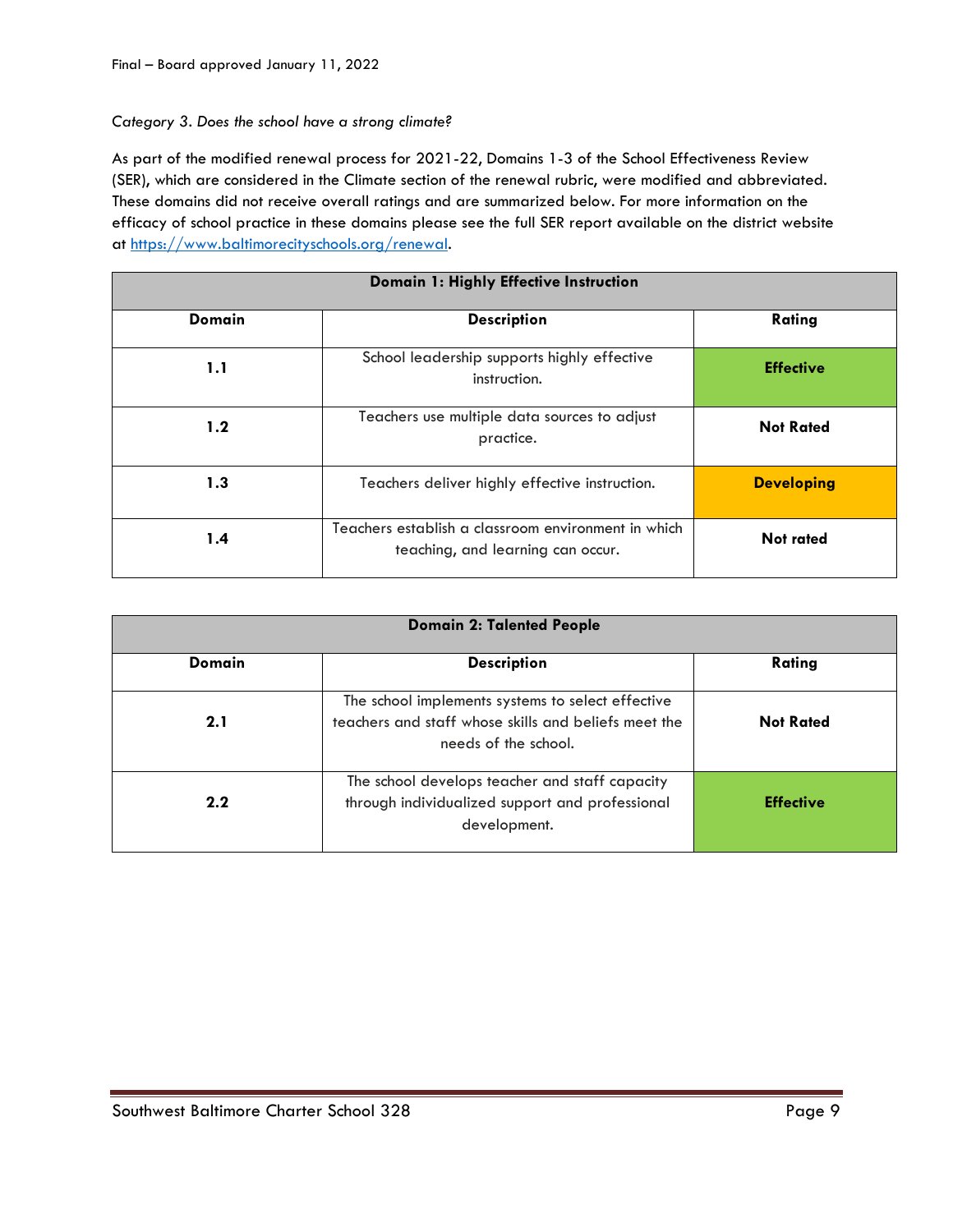#### *Category 3. Does the school have a strong climate?*

As part of the modified renewal process for 2021-22, Domains 1-3 of the School Effectiveness Review (SER), which are considered in the Climate section of the renewal rubric, were modified and abbreviated. These domains did not receive overall ratings and are summarized below. For more information on the efficacy of school practice in these domains please see the full SER report available on the district website at [https://www.baltimorecityschools.org/renewal.](https://www.baltimorecityschools.org/renewal)

| Domain 1: Highly Effective Instruction |                                                                                          |                   |  |
|----------------------------------------|------------------------------------------------------------------------------------------|-------------------|--|
| <b>Domain</b>                          | <b>Description</b>                                                                       | Rating            |  |
| 1.1                                    | School leadership supports highly effective<br>instruction.                              | <b>Effective</b>  |  |
| 1.2                                    | Teachers use multiple data sources to adjust<br>practice.                                | <b>Not Rated</b>  |  |
| 1.3                                    | Teachers deliver highly effective instruction.                                           | <b>Developing</b> |  |
| 1.4                                    | Teachers establish a classroom environment in which<br>teaching, and learning can occur. | <b>Not rated</b>  |  |

| <b>Domain 2: Talented People</b> |                                                                                                                                   |                  |  |
|----------------------------------|-----------------------------------------------------------------------------------------------------------------------------------|------------------|--|
| Domain                           | <b>Description</b>                                                                                                                | Rating           |  |
| 2.1                              | The school implements systems to select effective<br>teachers and staff whose skills and beliefs meet the<br>needs of the school. | <b>Not Rated</b> |  |
| $2.2^{\circ}$                    | The school develops teacher and staff capacity<br>through individualized support and professional<br>development.                 | <b>Effective</b> |  |